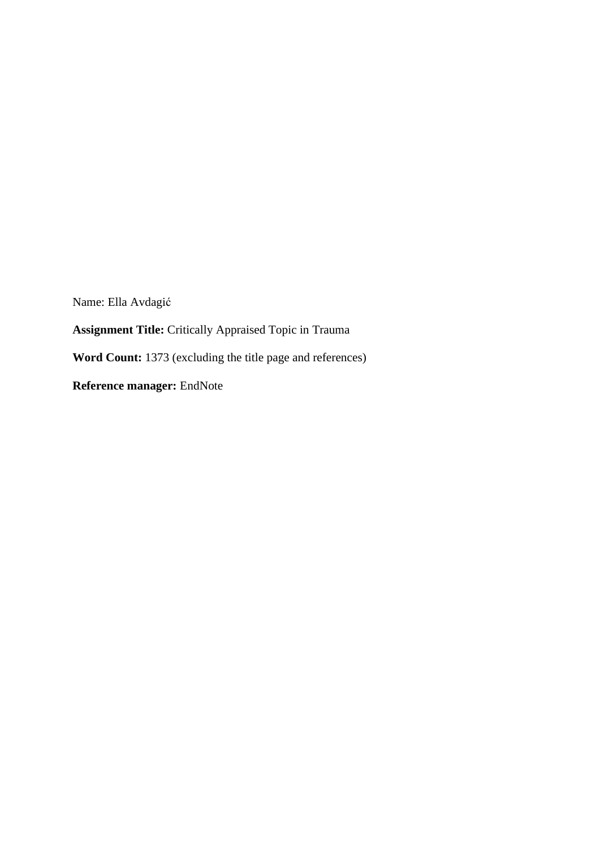Name: Ella Avdagić **Assignment Title:** Critically Appraised Topic in Trauma **Word Count:** 1373 (excluding the title page and references) **Reference manager:** EndNote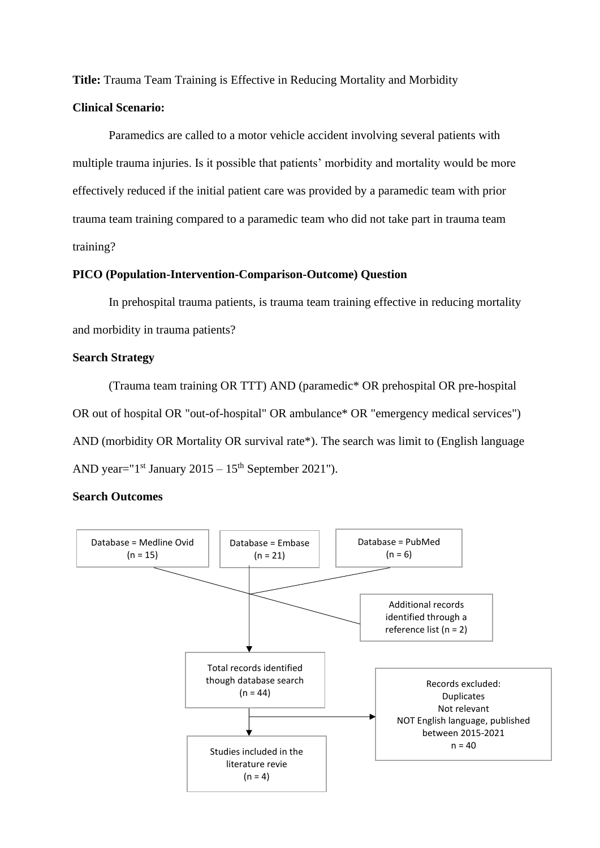**Title:** Trauma Team Training is Effective in Reducing Mortality and Morbidity

#### **Clinical Scenario:**

Paramedics are called to a motor vehicle accident involving several patients with multiple trauma injuries. Is it possible that patients' morbidity and mortality would be more effectively reduced if the initial patient care was provided by a paramedic team with prior trauma team training compared to a paramedic team who did not take part in trauma team training?

#### **PICO (Population-Intervention-Comparison-Outcome) Question**

In prehospital trauma patients, is trauma team training effective in reducing mortality and morbidity in trauma patients?

## **Search Strategy**

(Trauma team training OR TTT) AND (paramedic\* OR prehospital OR pre-hospital OR out of hospital OR "out-of-hospital" OR ambulance\* OR "emergency medical services") AND (morbidity OR Mortality OR survival rate\*). The search was limit to (English language AND year=" $1<sup>st</sup>$  January 2015 –  $15<sup>th</sup>$  September 2021").

## **Search Outcomes**

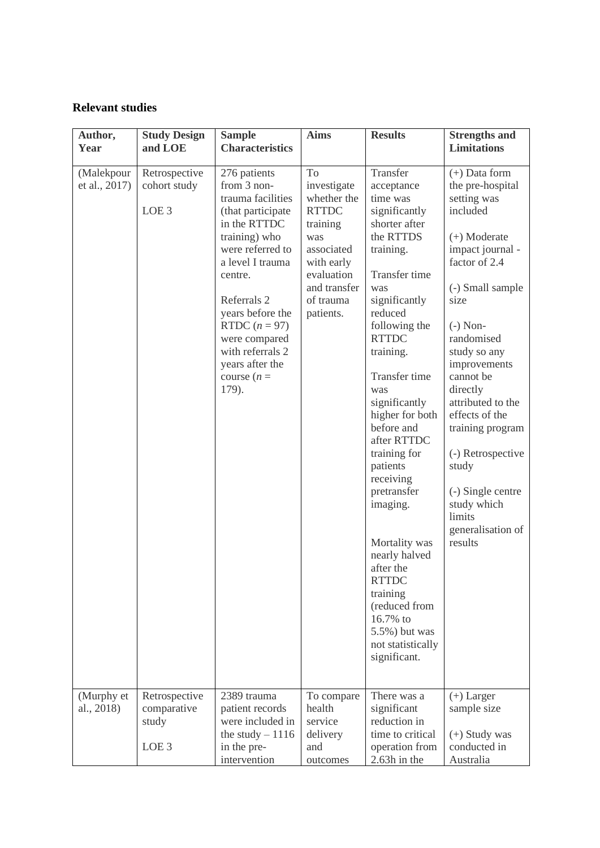# **Relevant studies**

| Author,<br>Year                           | <b>Study Design</b><br>and LOE                                     | <b>Sample</b><br><b>Characteristics</b>                                                                                                                                                                                                                                                                          | <b>Aims</b>                                                                                                                                                           | <b>Results</b>                                                                                                                                                                                                                                                                                                                                                                                                                                                                                                                                    | <b>Strengths and</b><br><b>Limitations</b>                                                                                                                                                                                                                                                                                                                                                                                    |
|-------------------------------------------|--------------------------------------------------------------------|------------------------------------------------------------------------------------------------------------------------------------------------------------------------------------------------------------------------------------------------------------------------------------------------------------------|-----------------------------------------------------------------------------------------------------------------------------------------------------------------------|---------------------------------------------------------------------------------------------------------------------------------------------------------------------------------------------------------------------------------------------------------------------------------------------------------------------------------------------------------------------------------------------------------------------------------------------------------------------------------------------------------------------------------------------------|-------------------------------------------------------------------------------------------------------------------------------------------------------------------------------------------------------------------------------------------------------------------------------------------------------------------------------------------------------------------------------------------------------------------------------|
| (Malekpour<br>et al., 2017)<br>(Murphy et | Retrospective<br>cohort study<br>LOE <sub>3</sub><br>Retrospective | 276 patients<br>from 3 non-<br>trauma facilities<br>(that participate<br>in the RTTDC<br>training) who<br>were referred to<br>a level I trauma<br>centre.<br>Referrals 2<br>years before the<br>RTDC $(n = 97)$<br>were compared<br>with referrals 2<br>years after the<br>course $(n =$<br>179).<br>2389 trauma | To<br>investigate<br>whether the<br><b>RTTDC</b><br>training<br>was<br>associated<br>with early<br>evaluation<br>and transfer<br>of trauma<br>patients.<br>To compare | Transfer<br>acceptance<br>time was<br>significantly<br>shorter after<br>the RTTDS<br>training.<br>Transfer time<br>was<br>significantly<br>reduced<br>following the<br><b>RTTDC</b><br>training.<br><b>Transfer time</b><br>was<br>significantly<br>higher for both<br>before and<br>after RTTDC<br>training for<br>patients<br>receiving<br>pretransfer<br>imaging.<br>Mortality was<br>nearly halved<br>after the<br><b>RTTDC</b><br>training<br>(reduced from<br>16.7% to<br>5.5%) but was<br>not statistically<br>significant.<br>There was a | $(+)$ Data form<br>the pre-hospital<br>setting was<br>included<br>$(+)$ Moderate<br>impact journal -<br>factor of 2.4<br>(-) Small sample<br>size<br>$(-)$ Non-<br>randomised<br>study so any<br>improvements<br>cannot be<br>directly<br>attributed to the<br>effects of the<br>training program<br>(-) Retrospective<br>study<br>(-) Single centre<br>study which<br>limits<br>generalisation of<br>results<br>$(+)$ Larger |
| al., 2018)                                | comparative<br>study<br>LOE <sub>3</sub>                           | patient records<br>were included in<br>the study $-1116$<br>in the pre-<br>intervention                                                                                                                                                                                                                          | health<br>service<br>delivery<br>and<br>outcomes                                                                                                                      | significant<br>reduction in<br>time to critical<br>operation from<br>2.63h in the                                                                                                                                                                                                                                                                                                                                                                                                                                                                 | sample size<br>$(+)$ Study was<br>conducted in<br>Australia                                                                                                                                                                                                                                                                                                                                                                   |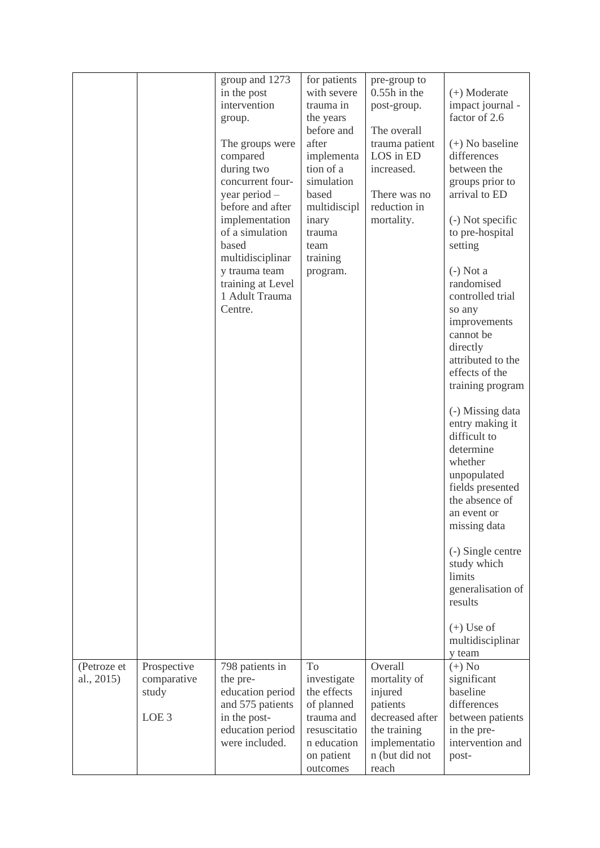|             |                  | group and 1273                      | for patients | pre-group to    |                                |
|-------------|------------------|-------------------------------------|--------------|-----------------|--------------------------------|
|             |                  | in the post                         | with severe  | $0.55h$ in the  | $(+)$ Moderate                 |
|             |                  | intervention                        | trauma in    | post-group.     | impact journal -               |
|             |                  | group.                              | the years    |                 | factor of 2.6                  |
|             |                  |                                     | before and   | The overall     |                                |
|             |                  | The groups were                     | after        | trauma patient  | $(+)$ No baseline              |
|             |                  | compared                            | implementa   | LOS in ED       | differences                    |
|             |                  | during two                          | tion of a    | increased.      | between the                    |
|             |                  | concurrent four-                    | simulation   |                 | groups prior to                |
|             |                  | year period -                       | based        | There was no    | arrival to ED                  |
|             |                  | before and after                    | multidiscipl | reduction in    |                                |
|             |                  | implementation                      | inary        | mortality.      | (-) Not specific               |
|             |                  | of a simulation                     | trauma       |                 | to pre-hospital                |
|             |                  | based                               | team         |                 | setting                        |
|             |                  | multidisciplinar                    | training     |                 |                                |
|             |                  | y trauma team                       | program.     |                 | $(-)$ Not a                    |
|             |                  | training at Level<br>1 Adult Trauma |              |                 | randomised<br>controlled trial |
|             |                  | Centre.                             |              |                 | so any                         |
|             |                  |                                     |              |                 | improvements                   |
|             |                  |                                     |              |                 | cannot be                      |
|             |                  |                                     |              |                 | directly                       |
|             |                  |                                     |              |                 | attributed to the              |
|             |                  |                                     |              |                 | effects of the                 |
|             |                  |                                     |              |                 | training program               |
|             |                  |                                     |              |                 |                                |
|             |                  |                                     |              |                 | (-) Missing data               |
|             |                  |                                     |              |                 | entry making it                |
|             |                  |                                     |              |                 | difficult to                   |
|             |                  |                                     |              |                 | determine<br>whether           |
|             |                  |                                     |              |                 | unpopulated                    |
|             |                  |                                     |              |                 | fields presented               |
|             |                  |                                     |              |                 | the absence of                 |
|             |                  |                                     |              |                 | an event or                    |
|             |                  |                                     |              |                 | missing data                   |
|             |                  |                                     |              |                 |                                |
|             |                  |                                     |              |                 | (-) Single centre              |
|             |                  |                                     |              |                 | study which                    |
|             |                  |                                     |              |                 | limits                         |
|             |                  |                                     |              |                 | generalisation of              |
|             |                  |                                     |              |                 | results                        |
|             |                  |                                     |              |                 |                                |
|             |                  |                                     |              |                 | $(+)$ Use of                   |
|             |                  |                                     |              |                 | multidisciplinar<br>y team     |
| (Petroze et | Prospective      | 798 patients in                     | To           | Overall         | $(+)$ No                       |
| al., 2015)  | comparative      | the pre-                            | investigate  | mortality of    | significant                    |
|             | study            | education period                    | the effects  | injured         | baseline                       |
|             |                  | and 575 patients                    | of planned   | patients        | differences                    |
|             | LOE <sub>3</sub> | in the post-                        | trauma and   | decreased after | between patients               |
|             |                  | education period                    | resuscitatio | the training    | in the pre-                    |
|             |                  | were included.                      | n education  | implementatio   | intervention and               |
|             |                  |                                     | on patient   | n (but did not  | post-                          |
|             |                  |                                     | outcomes     | reach           |                                |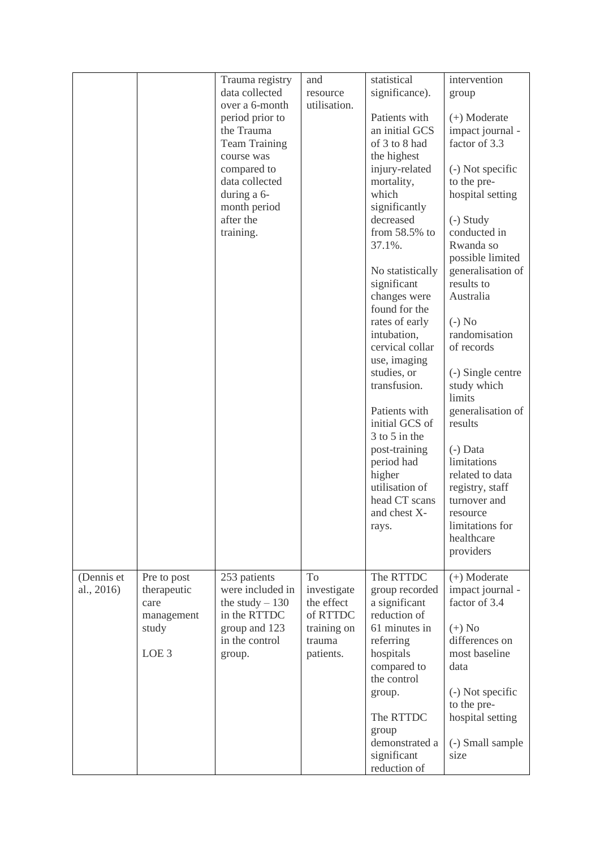|            |                  | Trauma registry                 | and                   | statistical                     | intervention                    |
|------------|------------------|---------------------------------|-----------------------|---------------------------------|---------------------------------|
|            |                  | data collected                  | resource              | significance).                  | group                           |
|            |                  | over a 6-month                  | utilisation.          |                                 |                                 |
|            |                  | period prior to                 |                       | Patients with                   | $(+)$ Moderate                  |
|            |                  | the Trauma                      |                       | an initial GCS                  | impact journal -                |
|            |                  | <b>Team Training</b>            |                       | of 3 to 8 had                   | factor of 3.3                   |
|            |                  | course was                      |                       | the highest                     |                                 |
|            |                  | compared to<br>data collected   |                       | injury-related<br>mortality,    | (-) Not specific                |
|            |                  | during a 6-                     |                       | which                           | to the pre-<br>hospital setting |
|            |                  | month period                    |                       | significantly                   |                                 |
|            |                  | after the                       |                       | decreased                       | $(-)$ Study                     |
|            |                  | training.                       |                       | from 58.5% to                   | conducted in                    |
|            |                  |                                 |                       | 37.1%.                          | Rwanda so                       |
|            |                  |                                 |                       |                                 | possible limited                |
|            |                  |                                 |                       | No statistically                | generalisation of               |
|            |                  |                                 |                       | significant                     | results to                      |
|            |                  |                                 |                       | changes were                    | Australia                       |
|            |                  |                                 |                       | found for the                   |                                 |
|            |                  |                                 |                       | rates of early                  | $(-)$ No                        |
|            |                  |                                 |                       | intubation,                     | randomisation                   |
|            |                  |                                 |                       | cervical collar<br>use, imaging | of records                      |
|            |                  |                                 |                       | studies, or                     | (-) Single centre               |
|            |                  |                                 |                       | transfusion.                    | study which                     |
|            |                  |                                 |                       |                                 | limits                          |
|            |                  |                                 |                       | Patients with                   | generalisation of               |
|            |                  |                                 |                       | initial GCS of                  | results                         |
|            |                  |                                 |                       | $3$ to $5$ in the               |                                 |
|            |                  |                                 |                       | post-training                   | $(-)$ Data                      |
|            |                  |                                 |                       | period had                      | limitations                     |
|            |                  |                                 |                       | higher                          | related to data                 |
|            |                  |                                 |                       | utilisation of<br>head CT scans | registry, staff<br>turnover and |
|            |                  |                                 |                       | and chest X-                    | resource                        |
|            |                  |                                 |                       | rays.                           | limitations for                 |
|            |                  |                                 |                       |                                 | healthcare                      |
|            |                  |                                 |                       |                                 | providers                       |
|            |                  |                                 |                       |                                 |                                 |
| (Dennis et | Pre to post      | 253 patients                    | To                    | The RTTDC                       | $(+)$ Moderate                  |
| al., 2016) | therapeutic      | were included in                | investigate           | group recorded                  | impact journal -                |
|            | care             | the study $-130$                | the effect            | a significant                   | factor of 3.4                   |
|            | management       | in the RTTDC                    | of RTTDC              | reduction of                    |                                 |
|            | study            | group and 123<br>in the control | training on<br>trauma | 61 minutes in                   | $(+)$ No<br>differences on      |
|            | LOE <sub>3</sub> |                                 | patients.             | referring<br>hospitals          | most baseline                   |
|            |                  | group.                          |                       | compared to                     | data                            |
|            |                  |                                 |                       | the control                     |                                 |
|            |                  |                                 |                       | group.                          | (-) Not specific                |
|            |                  |                                 |                       |                                 | to the pre-                     |
|            |                  |                                 |                       | The RTTDC                       | hospital setting                |
|            |                  |                                 |                       | group                           |                                 |
|            |                  |                                 |                       | demonstrated a                  | (-) Small sample                |
|            |                  |                                 |                       | significant                     | size                            |
|            |                  |                                 |                       | reduction of                    |                                 |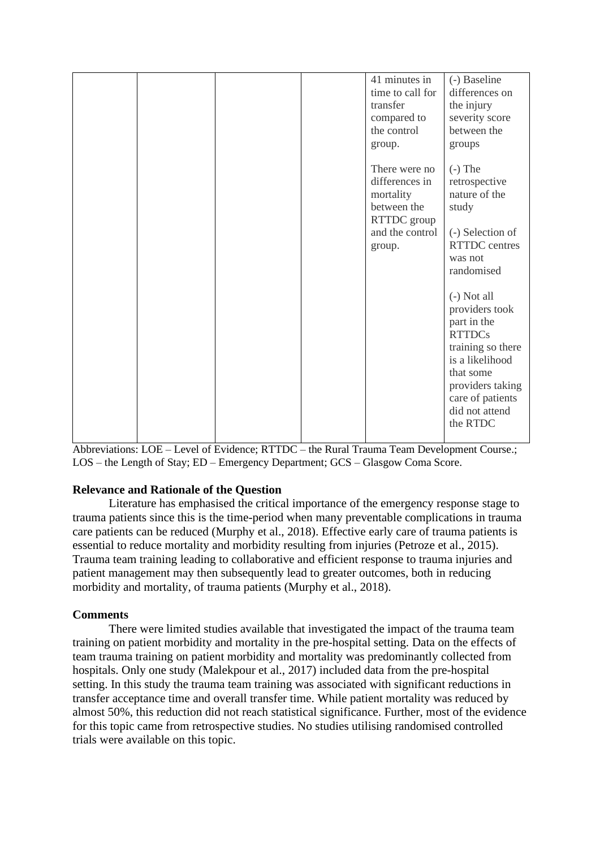|  | 41 minutes in<br>time to call for<br>transfer<br>compared to<br>the control<br>group.                   | (-) Baseline<br>differences on<br>the injury<br>severity score<br>between the<br>groups                                                                                                                                                                                                                                 |
|--|---------------------------------------------------------------------------------------------------------|-------------------------------------------------------------------------------------------------------------------------------------------------------------------------------------------------------------------------------------------------------------------------------------------------------------------------|
|  | There were no<br>differences in<br>mortality<br>between the<br>RTTDC group<br>and the control<br>group. | $(-)$ The<br>retrospective<br>nature of the<br>study<br>(-) Selection of<br><b>RTTDC</b> centres<br>was not<br>randomised<br>$(-)$ Not all<br>providers took<br>part in the<br><b>RTTDCs</b><br>training so there<br>is a likelihood<br>that some<br>providers taking<br>care of patients<br>did not attend<br>the RTDC |

Abbreviations: LOE – Level of Evidence; RTTDC – the Rural Trauma Team Development Course.; LOS – the Length of Stay; ED – Emergency Department; GCS – Glasgow Coma Score.

#### **Relevance and Rationale of the Question**

Literature has emphasised the critical importance of the emergency response stage to trauma patients since this is the time-period when many preventable complications in trauma care patients can be reduced (Murphy et al., 2018). Effective early care of trauma patients is essential to reduce mortality and morbidity resulting from injuries (Petroze et al., 2015). Trauma team training leading to collaborative and efficient response to trauma injuries and patient management may then subsequently lead to greater outcomes, both in reducing morbidity and mortality, of trauma patients (Murphy et al., 2018).

#### **Comments**

There were limited studies available that investigated the impact of the trauma team training on patient morbidity and mortality in the pre-hospital setting. Data on the effects of team trauma training on patient morbidity and mortality was predominantly collected from hospitals. Only one study (Malekpour et al., 2017) included data from the pre-hospital setting. In this study the trauma team training was associated with significant reductions in transfer acceptance time and overall transfer time. While patient mortality was reduced by almost 50%, this reduction did not reach statistical significance. Further, most of the evidence for this topic came from retrospective studies. No studies utilising randomised controlled trials were available on this topic.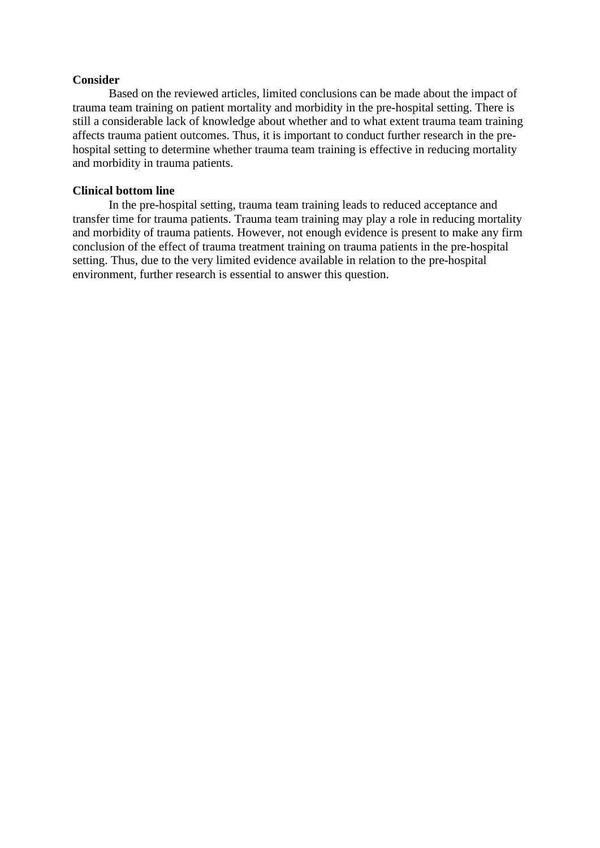#### **Consider**

Based on the reviewed articles, limited conclusions can be made about the impact of trauma team training on patient mortality and morbidity in the pre-hospital setting. There is still a considerable lack of knowledge about whether and to what extent trauma team training affects trauma patient outcomes. Thus, it is important to conduct further research in the prehospital setting to determine whether trauma team training is effective in reducing mortality and morbidity in trauma patients.

#### **Clinical bottom line**

In the pre-hospital setting, trauma team training leads to reduced acceptance and transfer time for trauma patients. Trauma team training may play a role in reducing mortality and morbidity of trauma patients. However, not enough evidence is present to make any firm conclusion of the effect of trauma treatment training on trauma patients in the pre-hospital setting. Thus, due to the very limited evidence available in relation to the pre-hospital environment, further research is essential to answer this question.